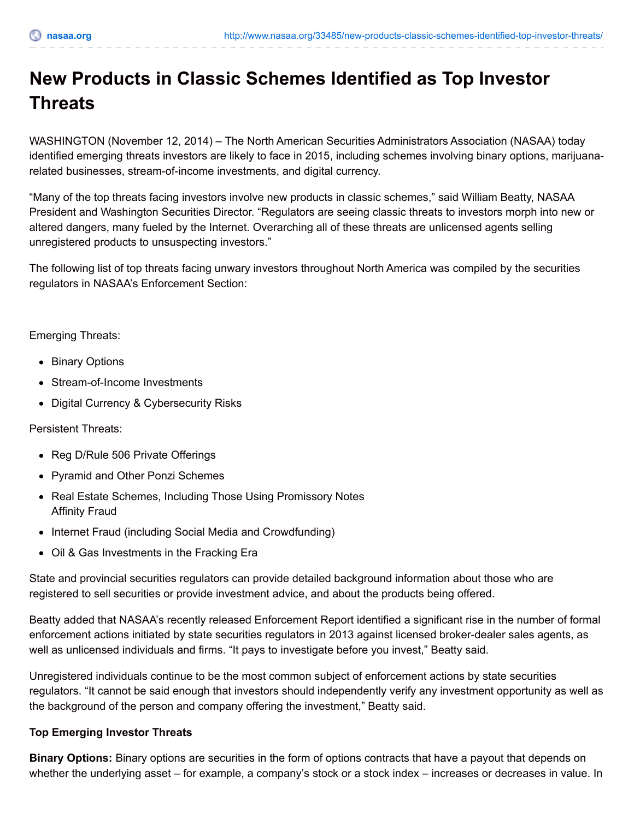## **New Products in Classic Schemes Identified as Top Investor Threats**

WASHINGTON (November 12, 2014) – The North American Securities Administrators Association (NASAA) today identified emerging threats investors are likely to face in 2015, including schemes involving binary options, marijuanarelated businesses, stream-of-income investments, and digital currency.

"Many of the top threats facing investors involve new products in classic schemes," said William Beatty, NASAA President and Washington Securities Director. "Regulators are seeing classic threats to investors morph into new or altered dangers, many fueled by the Internet. Overarching all of these threats are unlicensed agents selling unregistered products to unsuspecting investors."

The following list of top threats facing unwary investors throughout North America was compiled by the securities regulators in NASAA's Enforcement Section:

Emerging Threats:

- Binary Options
- Stream-of-Income Investments
- Digital Currency & Cybersecurity Risks

Persistent Threats:

- Reg D/Rule 506 Private Offerings
- Pyramid and Other Ponzi Schemes
- Real Estate Schemes, Including Those Using Promissory Notes Affinity Fraud
- Internet Fraud (including Social Media and Crowdfunding)
- Oil & Gas Investments in the Fracking Era

State and provincial securities regulators can provide detailed background information about those who are registered to sell securities or provide investment advice, and about the products being offered.

Beatty added that NASAA's recently released Enforcement Report identified a significant rise in the number of formal enforcement actions initiated by state securities regulators in 2013 against licensed broker-dealer sales agents, as well as unlicensed individuals and firms. "It pays to investigate before you invest," Beatty said.

Unregistered individuals continue to be the most common subject of enforcement actions by state securities regulators. "It cannot be said enough that investors should independently verify any investment opportunity as well as the background of the person and company offering the investment," Beatty said.

## **Top Emerging Investor Threats**

**Binary Options:** Binary options are securities in the form of options contracts that have a payout that depends on whether the underlying asset – for example, a company's stock or a stock index – increases or decreases in value. In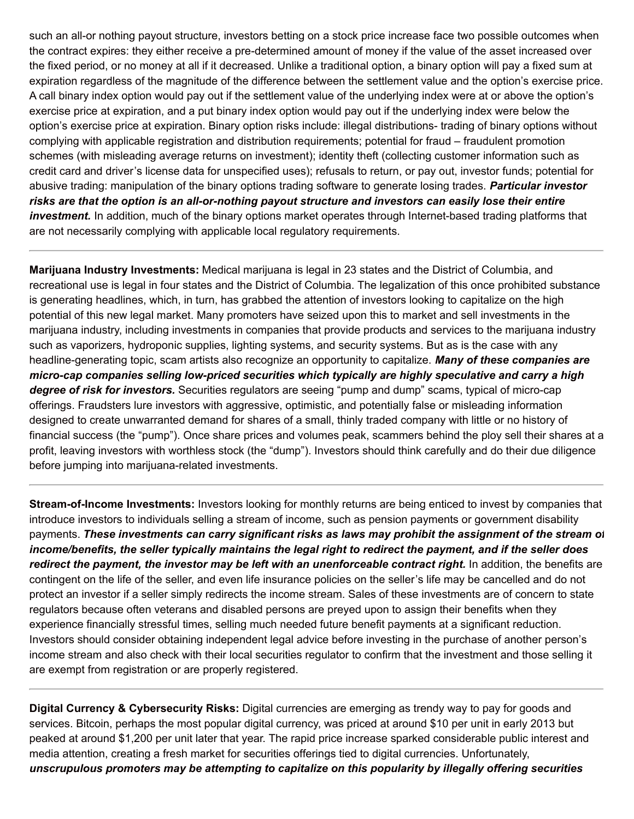such an all-or nothing payout structure, investors betting on a stock price increase face two possible outcomes when the contract expires: they either receive a pre-determined amount of money if the value of the asset increased over the fixed period, or no money at all if it decreased. Unlike a traditional option, a binary option will pay a fixed sum at expiration regardless of the magnitude of the difference between the settlement value and the option's exercise price. A call binary index option would pay out if the settlement value of the underlying index were at or above the option's exercise price at expiration, and a put binary index option would pay out if the underlying index were below the option's exercise price at expiration. Binary option risks include: illegal distributions- trading of binary options without complying with applicable registration and distribution requirements; potential for fraud – fraudulent promotion schemes (with misleading average returns on investment); identity theft (collecting customer information such as credit card and driver's license data for unspecified uses); refusals to return, or pay out, investor funds; potential for abusive trading: manipulation of the binary options trading software to generate losing trades. *Particular investor* risks are that the option is an all-or-nothing payout structure and investors can easily lose their entire *investment.* In addition, much of the binary options market operates through Internet-based trading platforms that are not necessarily complying with applicable local regulatory requirements.

**Marijuana Industry Investments:** Medical marijuana is legal in 23 states and the District of Columbia, and recreational use is legal in four states and the District of Columbia. The legalization of this once prohibited substance is generating headlines, which, in turn, has grabbed the attention of investors looking to capitalize on the high potential of this new legal market. Many promoters have seized upon this to market and sell investments in the marijuana industry, including investments in companies that provide products and services to the marijuana industry such as vaporizers, hydroponic supplies, lighting systems, and security systems. But as is the case with any headline-generating topic, scam artists also recognize an opportunity to capitalize. *Many of these companies are micro-cap companies selling low-priced securities which typically are highly speculative and carry a high degree of risk for investors.* Securities regulators are seeing "pump and dump" scams, typical of micro-cap offerings. Fraudsters lure investors with aggressive, optimistic, and potentially false or misleading information designed to create unwarranted demand for shares of a small, thinly traded company with little or no history of financial success (the "pump"). Once share prices and volumes peak, scammers behind the ploy sell their shares at a profit, leaving investors with worthless stock (the "dump"). Investors should think carefully and do their due diligence before jumping into marijuana-related investments.

**Stream-of-Income Investments:** Investors looking for monthly returns are being enticed to invest by companies that introduce investors to individuals selling a stream of income, such as pension payments or government disability payments. *These investments can carry significant risks as laws may prohibit the assignment of the stream of* income/benefits, the seller typically maintains the legal right to redirect the payment, and if the seller does *redirect the payment, the investor may be left with an unenforceable contract right.* In addition, the benefits are contingent on the life of the seller, and even life insurance policies on the seller's life may be cancelled and do not protect an investor if a seller simply redirects the income stream. Sales of these investments are of concern to state regulators because often veterans and disabled persons are preyed upon to assign their benefits when they experience financially stressful times, selling much needed future benefit payments at a significant reduction. Investors should consider obtaining independent legal advice before investing in the purchase of another person's income stream and also check with their local securities regulator to confirm that the investment and those selling it are exempt from registration or are properly registered.

**Digital Currency & Cybersecurity Risks:** Digital currencies are emerging as trendy way to pay for goods and services. Bitcoin, perhaps the most popular digital currency, was priced at around \$10 per unit in early 2013 but peaked at around \$1,200 per unit later that year. The rapid price increase sparked considerable public interest and media attention, creating a fresh market for securities offerings tied to digital currencies. Unfortunately, *unscrupulous promoters may be attempting to capitalize on this popularity by illegally offering securities*